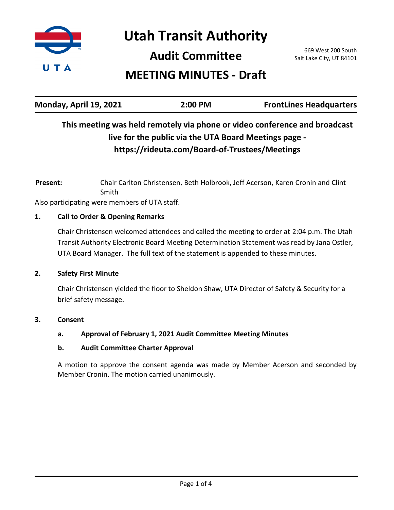

**Utah Transit Authority**

**Audit Committee**

669 West 200 South Salt Lake City, UT 84101

# **MEETING MINUTES - Draft**

| Monday, April 19, 2021 | 2:00 PM | <b>FrontLines Headquarters</b> |
|------------------------|---------|--------------------------------|
|                        |         |                                |

## **This meeting was held remotely via phone or video conference and broadcast live for the public via the UTA Board Meetings page https://rideuta.com/Board-of-Trustees/Meetings**

Chair Carlton Christensen, Beth Holbrook, Jeff Acerson, Karen Cronin and Clint Smith **Present:**

Also participating were members of UTA staff.

## **1. Call to Order & Opening Remarks**

Chair Christensen welcomed attendees and called the meeting to order at 2:04 p.m. The Utah Transit Authority Electronic Board Meeting Determination Statement was read by Jana Ostler, UTA Board Manager. The full text of the statement is appended to these minutes.

## **2. Safety First Minute**

Chair Christensen yielded the floor to Sheldon Shaw, UTA Director of Safety & Security for a brief safety message.

## **3. Consent**

## **a. Approval of February 1, 2021 Audit Committee Meeting Minutes**

## **b. Audit Committee Charter Approval**

A motion to approve the consent agenda was made by Member Acerson and seconded by Member Cronin. The motion carried unanimously.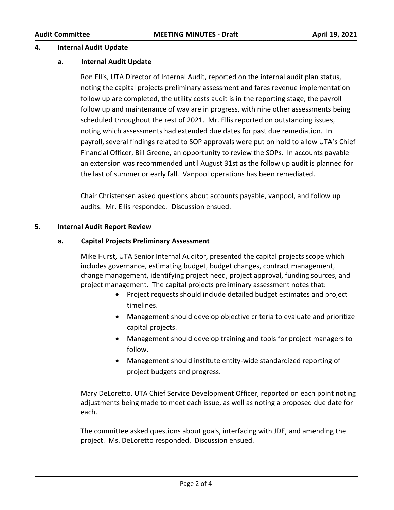#### **4. Internal Audit Update**

#### **a. Internal Audit Update**

Ron Ellis, UTA Director of Internal Audit, reported on the internal audit plan status, noting the capital projects preliminary assessment and fares revenue implementation follow up are completed, the utility costs audit is in the reporting stage, the payroll follow up and maintenance of way are in progress, with nine other assessments being scheduled throughout the rest of 2021. Mr. Ellis reported on outstanding issues, noting which assessments had extended due dates for past due remediation. In payroll, several findings related to SOP approvals were put on hold to allow UTA's Chief Financial Officer, Bill Greene, an opportunity to review the SOPs. In accounts payable an extension was recommended until August 31st as the follow up audit is planned for the last of summer or early fall. Vanpool operations has been remediated.

Chair Christensen asked questions about accounts payable, vanpool, and follow up audits. Mr. Ellis responded. Discussion ensued.

#### **5. Internal Audit Report Review**

#### **a. Capital Projects Preliminary Assessment**

Mike Hurst, UTA Senior Internal Auditor, presented the capital projects scope which includes governance, estimating budget, budget changes, contract management, change management, identifying project need, project approval, funding sources, and project management. The capital projects preliminary assessment notes that:

- · Project requests should include detailed budget estimates and project timelines.
- · Management should develop objective criteria to evaluate and prioritize capital projects.
- · Management should develop training and tools for project managers to follow.
- · Management should institute entity-wide standardized reporting of project budgets and progress.

Mary DeLoretto, UTA Chief Service Development Officer, reported on each point noting adjustments being made to meet each issue, as well as noting a proposed due date for each.

The committee asked questions about goals, interfacing with JDE, and amending the project. Ms. DeLoretto responded. Discussion ensued.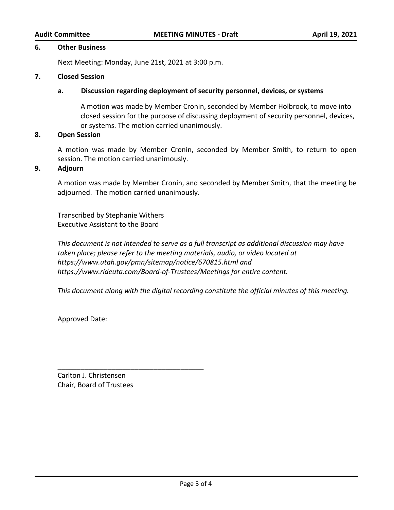#### **6. Other Business**

Next Meeting: Monday, June 21st, 2021 at 3:00 p.m.

#### **7. Closed Session**

#### **a. Discussion regarding deployment of security personnel, devices, or systems**

A motion was made by Member Cronin, seconded by Member Holbrook, to move into closed session for the purpose of discussing deployment of security personnel, devices, or systems. The motion carried unanimously.

#### **8. Open Session**

A motion was made by Member Cronin, seconded by Member Smith, to return to open session. The motion carried unanimously.

#### **9. Adjourn**

A motion was made by Member Cronin, and seconded by Member Smith, that the meeting be adjourned. The motion carried unanimously.

Transcribed by Stephanie Withers Executive Assistant to the Board

*This document is not intended to serve as a full transcript as additional discussion may have taken place; please refer to the meeting materials, audio, or video located at https://www.utah.gov/pmn/sitemap/notice/670815.html and https://www.rideuta.com/Board-of-Trustees/Meetings for entire content.*

*This document along with the digital recording constitute the official minutes of this meeting.*

Approved Date:

Carlton J. Christensen Chair, Board of Trustees

\_\_\_\_\_\_\_\_\_\_\_\_\_\_\_\_\_\_\_\_\_\_\_\_\_\_\_\_\_\_\_\_\_\_\_\_\_\_